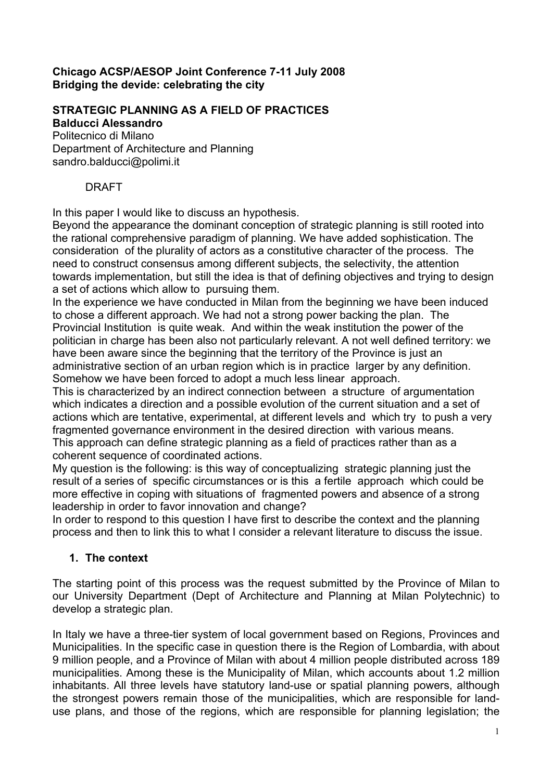### **Chicago ACSP/AESOP Joint Conference 7-11 July 2008 Bridging the devide: celebrating the city**

# **STRATEGIC PLANNING AS A FIELD OF PRACTICES**

**Balducci Alessandro** 

Politecnico di Milano Department of Architecture and Planning sandro.balducci@polimi.it

# DRAFT

In this paper I would like to discuss an hypothesis.

Beyond the appearance the dominant conception of strategic planning is still rooted into the rational comprehensive paradigm of planning. We have added sophistication. The consideration of the plurality of actors as a constitutive character of the process. The need to construct consensus among different subjects, the selectivity, the attention towards implementation, but still the idea is that of defining objectives and trying to design a set of actions which allow to pursuing them.

In the experience we have conducted in Milan from the beginning we have been induced to chose a different approach. We had not a strong power backing the plan. The Provincial Institution is quite weak. And within the weak institution the power of the politician in charge has been also not particularly relevant. A not well defined territory: we have been aware since the beginning that the territory of the Province is just an administrative section of an urban region which is in practice larger by any definition. Somehow we have been forced to adopt a much less linear approach.

This is characterized by an indirect connection between a structure of argumentation which indicates a direction and a possible evolution of the current situation and a set of actions which are tentative, experimental, at different levels and which try to push a very fragmented governance environment in the desired direction with various means. This approach can define strategic planning as a field of practices rather than as a

coherent sequence of coordinated actions.

My question is the following: is this way of conceptualizing strategic planning just the result of a series of specific circumstances or is this a fertile approach which could be more effective in coping with situations of fragmented powers and absence of a strong leadership in order to favor innovation and change?

In order to respond to this question I have first to describe the context and the planning process and then to link this to what I consider a relevant literature to discuss the issue.

# **1. The context**

The starting point of this process was the request submitted by the Province of Milan to our University Department (Dept of Architecture and Planning at Milan Polytechnic) to develop a strategic plan.

In Italy we have a three-tier system of local government based on Regions, Provinces and Municipalities. In the specific case in question there is the Region of Lombardia, with about 9 million people, and a Province of Milan with about 4 million people distributed across 189 municipalities. Among these is the Municipality of Milan, which accounts about 1.2 million inhabitants. All three levels have statutory land-use or spatial planning powers, although the strongest powers remain those of the municipalities, which are responsible for landuse plans, and those of the regions, which are responsible for planning legislation; the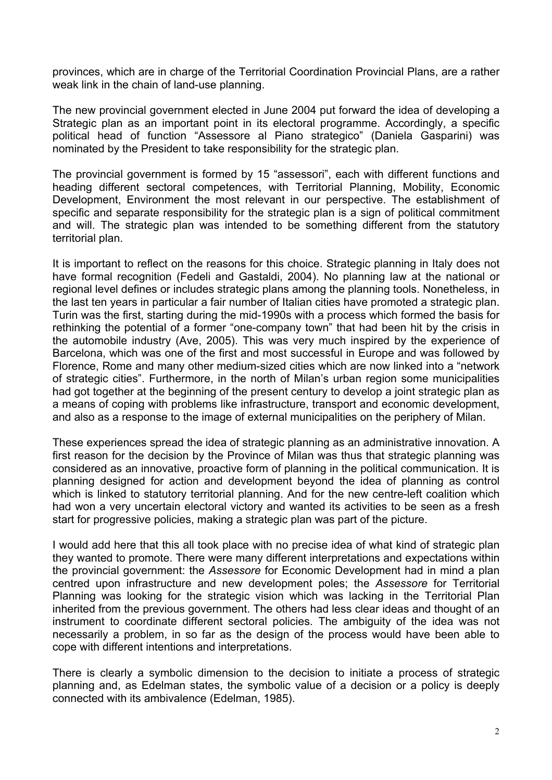provinces, which are in charge of the Territorial Coordination Provincial Plans, are a rather weak link in the chain of land-use planning.

The new provincial government elected in June 2004 put forward the idea of developing a Strategic plan as an important point in its electoral programme. Accordingly, a specific political head of function "Assessore al Piano strategico" (Daniela Gasparini) was nominated by the President to take responsibility for the strategic plan.

The provincial government is formed by 15 "assessori", each with different functions and heading different sectoral competences, with Territorial Planning, Mobility, Economic Development, Environment the most relevant in our perspective. The establishment of specific and separate responsibility for the strategic plan is a sign of political commitment and will. The strategic plan was intended to be something different from the statutory territorial plan.

It is important to reflect on the reasons for this choice. Strategic planning in Italy does not have formal recognition (Fedeli and Gastaldi, 2004). No planning law at the national or regional level defines or includes strategic plans among the planning tools. Nonetheless, in the last ten years in particular a fair number of Italian cities have promoted a strategic plan. Turin was the first, starting during the mid-1990s with a process which formed the basis for rethinking the potential of a former "one-company town" that had been hit by the crisis in the automobile industry (Ave, 2005). This was very much inspired by the experience of Barcelona, which was one of the first and most successful in Europe and was followed by Florence, Rome and many other medium-sized cities which are now linked into a "network of strategic cities". Furthermore, in the north of Milan's urban region some municipalities had got together at the beginning of the present century to develop a joint strategic plan as a means of coping with problems like infrastructure, transport and economic development, and also as a response to the image of external municipalities on the periphery of Milan.

These experiences spread the idea of strategic planning as an administrative innovation. A first reason for the decision by the Province of Milan was thus that strategic planning was considered as an innovative, proactive form of planning in the political communication. It is planning designed for action and development beyond the idea of planning as control which is linked to statutory territorial planning. And for the new centre-left coalition which had won a very uncertain electoral victory and wanted its activities to be seen as a fresh start for progressive policies, making a strategic plan was part of the picture.

I would add here that this all took place with no precise idea of what kind of strategic plan they wanted to promote. There were many different interpretations and expectations within the provincial government: the *Assessore* for Economic Development had in mind a plan centred upon infrastructure and new development poles; the *Assessore* for Territorial Planning was looking for the strategic vision which was lacking in the Territorial Plan inherited from the previous government. The others had less clear ideas and thought of an instrument to coordinate different sectoral policies. The ambiguity of the idea was not necessarily a problem, in so far as the design of the process would have been able to cope with different intentions and interpretations.

There is clearly a symbolic dimension to the decision to initiate a process of strategic planning and, as Edelman states, the symbolic value of a decision or a policy is deeply connected with its ambivalence (Edelman, 1985).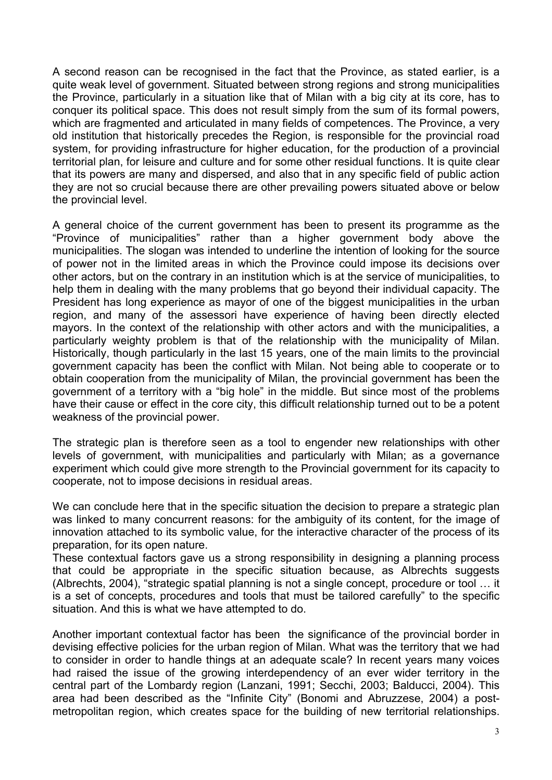A second reason can be recognised in the fact that the Province, as stated earlier, is a quite weak level of government. Situated between strong regions and strong municipalities the Province, particularly in a situation like that of Milan with a big city at its core, has to conquer its political space. This does not result simply from the sum of its formal powers, which are fragmented and articulated in many fields of competences. The Province, a very old institution that historically precedes the Region, is responsible for the provincial road system, for providing infrastructure for higher education, for the production of a provincial territorial plan, for leisure and culture and for some other residual functions. It is quite clear that its powers are many and dispersed, and also that in any specific field of public action they are not so crucial because there are other prevailing powers situated above or below the provincial level.

A general choice of the current government has been to present its programme as the "Province of municipalities" rather than a higher government body above the municipalities. The slogan was intended to underline the intention of looking for the source of power not in the limited areas in which the Province could impose its decisions over other actors, but on the contrary in an institution which is at the service of municipalities, to help them in dealing with the many problems that go beyond their individual capacity. The President has long experience as mayor of one of the biggest municipalities in the urban region, and many of the assessori have experience of having been directly elected mayors. In the context of the relationship with other actors and with the municipalities, a particularly weighty problem is that of the relationship with the municipality of Milan. Historically, though particularly in the last 15 years, one of the main limits to the provincial government capacity has been the conflict with Milan. Not being able to cooperate or to obtain cooperation from the municipality of Milan, the provincial government has been the government of a territory with a "big hole" in the middle. But since most of the problems have their cause or effect in the core city, this difficult relationship turned out to be a potent weakness of the provincial power.

The strategic plan is therefore seen as a tool to engender new relationships with other levels of government, with municipalities and particularly with Milan; as a governance experiment which could give more strength to the Provincial government for its capacity to cooperate, not to impose decisions in residual areas.

We can conclude here that in the specific situation the decision to prepare a strategic plan was linked to many concurrent reasons: for the ambiguity of its content, for the image of innovation attached to its symbolic value, for the interactive character of the process of its preparation, for its open nature.

These contextual factors gave us a strong responsibility in designing a planning process that could be appropriate in the specific situation because, as Albrechts suggests (Albrechts, 2004), "strategic spatial planning is not a single concept, procedure or tool … it is a set of concepts, procedures and tools that must be tailored carefully" to the specific situation. And this is what we have attempted to do.

Another important contextual factor has been the significance of the provincial border in devising effective policies for the urban region of Milan. What was the territory that we had to consider in order to handle things at an adequate scale? In recent years many voices had raised the issue of the growing interdependency of an ever wider territory in the central part of the Lombardy region (Lanzani, 1991; Secchi, 2003; Balducci, 2004). This area had been described as the "Infinite City" (Bonomi and Abruzzese, 2004) a postmetropolitan region, which creates space for the building of new territorial relationships.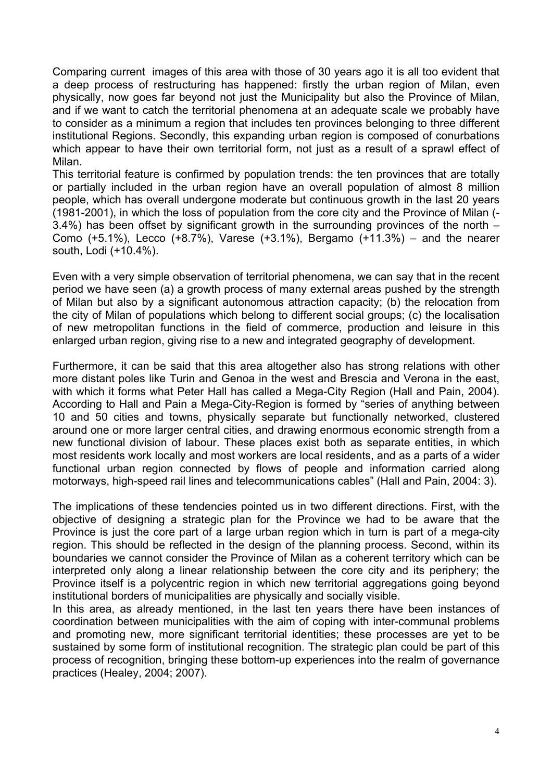Comparing current images of this area with those of 30 years ago it is all too evident that a deep process of restructuring has happened: firstly the urban region of Milan, even physically, now goes far beyond not just the Municipality but also the Province of Milan, and if we want to catch the territorial phenomena at an adequate scale we probably have to consider as a minimum a region that includes ten provinces belonging to three different institutional Regions. Secondly, this expanding urban region is composed of conurbations which appear to have their own territorial form, not just as a result of a sprawl effect of Milan.

This territorial feature is confirmed by population trends: the ten provinces that are totally or partially included in the urban region have an overall population of almost 8 million people, which has overall undergone moderate but continuous growth in the last 20 years (1981-2001), in which the loss of population from the core city and the Province of Milan (- 3.4%) has been offset by significant growth in the surrounding provinces of the north – Como  $(+5.1\%)$ , Lecco  $(+8.7\%)$ , Varese  $(+3.1\%)$ , Bergamo  $(+11.3\%)$  – and the nearer south, Lodi (+10.4%).

Even with a very simple observation of territorial phenomena, we can say that in the recent period we have seen (a) a growth process of many external areas pushed by the strength of Milan but also by a significant autonomous attraction capacity; (b) the relocation from the city of Milan of populations which belong to different social groups; (c) the localisation of new metropolitan functions in the field of commerce, production and leisure in this enlarged urban region, giving rise to a new and integrated geography of development.

Furthermore, it can be said that this area altogether also has strong relations with other more distant poles like Turin and Genoa in the west and Brescia and Verona in the east, with which it forms what Peter Hall has called a Mega-City Region (Hall and Pain, 2004). According to Hall and Pain a Mega-City-Region is formed by "series of anything between 10 and 50 cities and towns, physically separate but functionally networked, clustered around one or more larger central cities, and drawing enormous economic strength from a new functional division of labour. These places exist both as separate entities, in which most residents work locally and most workers are local residents, and as a parts of a wider functional urban region connected by flows of people and information carried along motorways, high-speed rail lines and telecommunications cables" (Hall and Pain, 2004: 3).

The implications of these tendencies pointed us in two different directions. First, with the objective of designing a strategic plan for the Province we had to be aware that the Province is just the core part of a large urban region which in turn is part of a mega-city region. This should be reflected in the design of the planning process. Second, within its boundaries we cannot consider the Province of Milan as a coherent territory which can be interpreted only along a linear relationship between the core city and its periphery; the Province itself is a polycentric region in which new territorial aggregations going beyond institutional borders of municipalities are physically and socially visible.

In this area, as already mentioned, in the last ten years there have been instances of coordination between municipalities with the aim of coping with inter-communal problems and promoting new, more significant territorial identities; these processes are yet to be sustained by some form of institutional recognition. The strategic plan could be part of this process of recognition, bringing these bottom-up experiences into the realm of governance practices (Healey, 2004; 2007).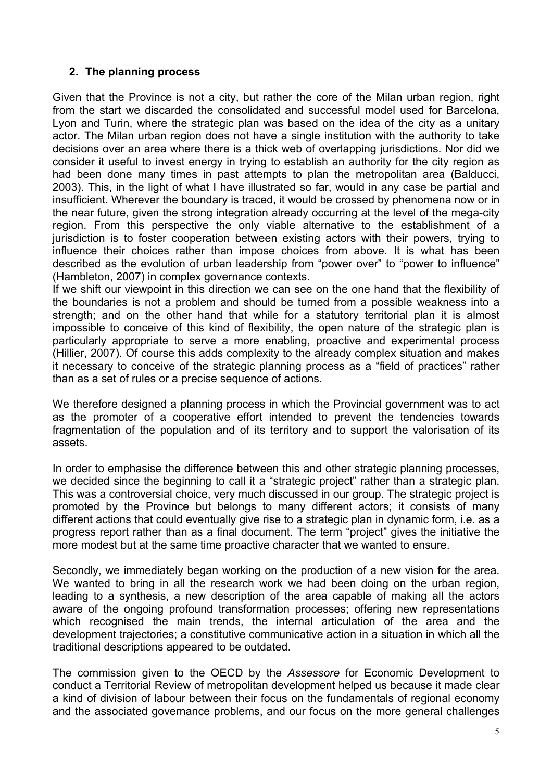## **2. The planning process**

Given that the Province is not a city, but rather the core of the Milan urban region, right from the start we discarded the consolidated and successful model used for Barcelona, Lyon and Turin, where the strategic plan was based on the idea of the city as a unitary actor. The Milan urban region does not have a single institution with the authority to take decisions over an area where there is a thick web of overlapping jurisdictions. Nor did we consider it useful to invest energy in trying to establish an authority for the city region as had been done many times in past attempts to plan the metropolitan area (Balducci, 2003). This, in the light of what I have illustrated so far, would in any case be partial and insufficient. Wherever the boundary is traced, it would be crossed by phenomena now or in the near future, given the strong integration already occurring at the level of the mega-city region. From this perspective the only viable alternative to the establishment of a jurisdiction is to foster cooperation between existing actors with their powers, trying to influence their choices rather than impose choices from above. It is what has been described as the evolution of urban leadership from "power over" to "power to influence" (Hambleton, 2007) in complex governance contexts.

If we shift our viewpoint in this direction we can see on the one hand that the flexibility of the boundaries is not a problem and should be turned from a possible weakness into a strength; and on the other hand that while for a statutory territorial plan it is almost impossible to conceive of this kind of flexibility, the open nature of the strategic plan is particularly appropriate to serve a more enabling, proactive and experimental process (Hillier, 2007). Of course this adds complexity to the already complex situation and makes it necessary to conceive of the strategic planning process as a "field of practices" rather than as a set of rules or a precise sequence of actions.

We therefore designed a planning process in which the Provincial government was to act as the promoter of a cooperative effort intended to prevent the tendencies towards fragmentation of the population and of its territory and to support the valorisation of its assets.

In order to emphasise the difference between this and other strategic planning processes, we decided since the beginning to call it a "strategic project" rather than a strategic plan. This was a controversial choice, very much discussed in our group. The strategic project is promoted by the Province but belongs to many different actors; it consists of many different actions that could eventually give rise to a strategic plan in dynamic form, i.e. as a progress report rather than as a final document. The term "project" gives the initiative the more modest but at the same time proactive character that we wanted to ensure.

Secondly, we immediately began working on the production of a new vision for the area. We wanted to bring in all the research work we had been doing on the urban region. leading to a synthesis, a new description of the area capable of making all the actors aware of the ongoing profound transformation processes; offering new representations which recognised the main trends, the internal articulation of the area and the development trajectories; a constitutive communicative action in a situation in which all the traditional descriptions appeared to be outdated.

The commission given to the OECD by the *Assessore* for Economic Development to conduct a Territorial Review of metropolitan development helped us because it made clear a kind of division of labour between their focus on the fundamentals of regional economy and the associated governance problems, and our focus on the more general challenges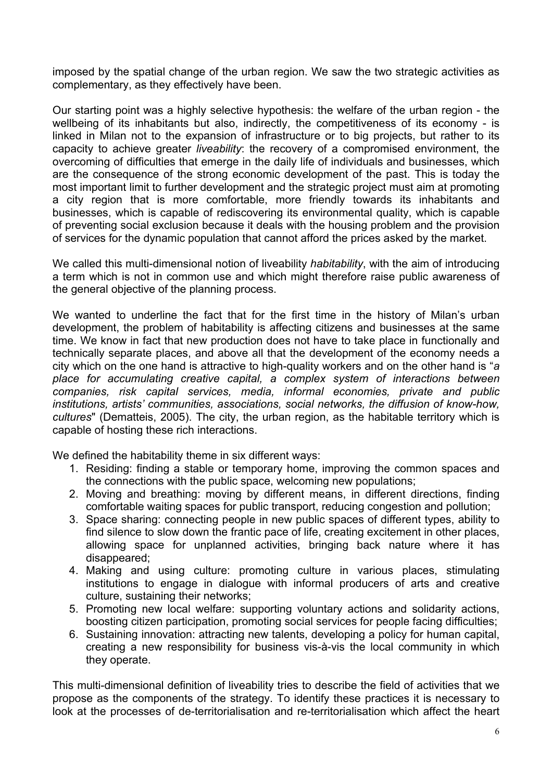imposed by the spatial change of the urban region. We saw the two strategic activities as complementary, as they effectively have been.

Our starting point was a highly selective hypothesis: the welfare of the urban region - the wellbeing of its inhabitants but also, indirectly, the competitiveness of its economy - is linked in Milan not to the expansion of infrastructure or to big projects, but rather to its capacity to achieve greater *liveability*: the recovery of a compromised environment, the overcoming of difficulties that emerge in the daily life of individuals and businesses, which are the consequence of the strong economic development of the past. This is today the most important limit to further development and the strategic project must aim at promoting a city region that is more comfortable, more friendly towards its inhabitants and businesses, which is capable of rediscovering its environmental quality, which is capable of preventing social exclusion because it deals with the housing problem and the provision of services for the dynamic population that cannot afford the prices asked by the market.

We called this multi-dimensional notion of liveability *habitability*, with the aim of introducing a term which is not in common use and which might therefore raise public awareness of the general objective of the planning process.

We wanted to underline the fact that for the first time in the history of Milan's urban development, the problem of habitability is affecting citizens and businesses at the same time. We know in fact that new production does not have to take place in functionally and technically separate places, and above all that the development of the economy needs a city which on the one hand is attractive to high-quality workers and on the other hand is "*a place for accumulating creative capital, a complex system of interactions between companies, risk capital services, media, informal economies, private and public institutions, artists' communities, associations, social networks, the diffusion of know-how, cultures*" (Dematteis, 2005). The city, the urban region, as the habitable territory which is capable of hosting these rich interactions.

We defined the habitability theme in six different ways:

- 1. Residing: finding a stable or temporary home, improving the common spaces and the connections with the public space, welcoming new populations;
- 2. Moving and breathing: moving by different means, in different directions, finding comfortable waiting spaces for public transport, reducing congestion and pollution;
- 3. Space sharing: connecting people in new public spaces of different types, ability to find silence to slow down the frantic pace of life, creating excitement in other places, allowing space for unplanned activities, bringing back nature where it has disappeared;
- 4. Making and using culture: promoting culture in various places, stimulating institutions to engage in dialogue with informal producers of arts and creative culture, sustaining their networks;
- 5. Promoting new local welfare: supporting voluntary actions and solidarity actions, boosting citizen participation, promoting social services for people facing difficulties;
- 6. Sustaining innovation: attracting new talents, developing a policy for human capital, creating a new responsibility for business vis-à-vis the local community in which they operate.

This multi-dimensional definition of liveability tries to describe the field of activities that we propose as the components of the strategy. To identify these practices it is necessary to look at the processes of de-territorialisation and re-territorialisation which affect the heart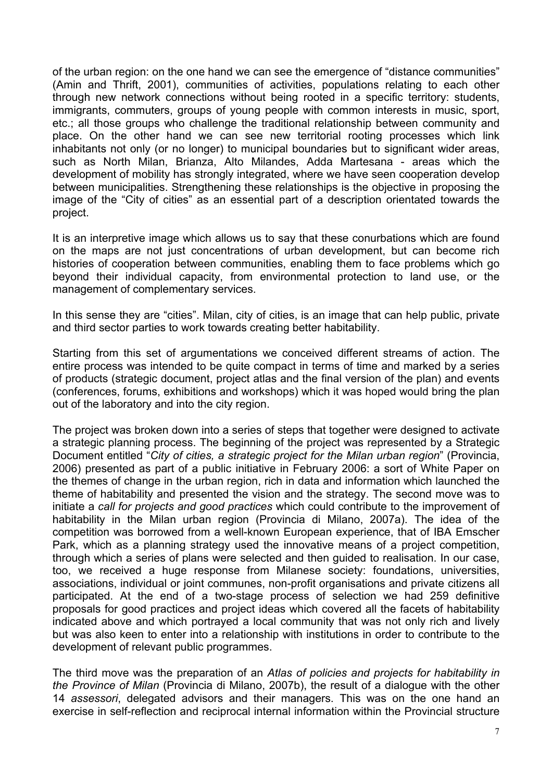of the urban region: on the one hand we can see the emergence of "distance communities" (Amin and Thrift, 2001), communities of activities, populations relating to each other through new network connections without being rooted in a specific territory: students, immigrants, commuters, groups of young people with common interests in music, sport, etc.; all those groups who challenge the traditional relationship between community and place. On the other hand we can see new territorial rooting processes which link inhabitants not only (or no longer) to municipal boundaries but to significant wider areas, such as North Milan, Brianza, Alto Milandes, Adda Martesana - areas which the development of mobility has strongly integrated, where we have seen cooperation develop between municipalities. Strengthening these relationships is the objective in proposing the image of the "City of cities" as an essential part of a description orientated towards the project.

It is an interpretive image which allows us to say that these conurbations which are found on the maps are not just concentrations of urban development, but can become rich histories of cooperation between communities, enabling them to face problems which go beyond their individual capacity, from environmental protection to land use, or the management of complementary services.

In this sense they are "cities". Milan, city of cities, is an image that can help public, private and third sector parties to work towards creating better habitability.

Starting from this set of argumentations we conceived different streams of action. The entire process was intended to be quite compact in terms of time and marked by a series of products (strategic document, project atlas and the final version of the plan) and events (conferences, forums, exhibitions and workshops) which it was hoped would bring the plan out of the laboratory and into the city region.

The project was broken down into a series of steps that together were designed to activate a strategic planning process. The beginning of the project was represented by a Strategic Document entitled "*City of cities, a strategic project for the Milan urban region*" (Provincia, 2006) presented as part of a public initiative in February 2006: a sort of White Paper on the themes of change in the urban region, rich in data and information which launched the theme of habitability and presented the vision and the strategy. The second move was to initiate a *call for projects and good practices* which could contribute to the improvement of habitability in the Milan urban region (Provincia di Milano, 2007a). The idea of the competition was borrowed from a well-known European experience, that of IBA Emscher Park, which as a planning strategy used the innovative means of a project competition, through which a series of plans were selected and then guided to realisation. In our case, too, we received a huge response from Milanese society: foundations, universities, associations, individual or joint communes, non-profit organisations and private citizens all participated. At the end of a two-stage process of selection we had 259 definitive proposals for good practices and project ideas which covered all the facets of habitability indicated above and which portrayed a local community that was not only rich and lively but was also keen to enter into a relationship with institutions in order to contribute to the development of relevant public programmes.

The third move was the preparation of an *Atlas of policies and projects for habitability in the Province of Milan* (Provincia di Milano, 2007b), the result of a dialogue with the other 14 *assessori*, delegated advisors and their managers. This was on the one hand an exercise in self-reflection and reciprocal internal information within the Provincial structure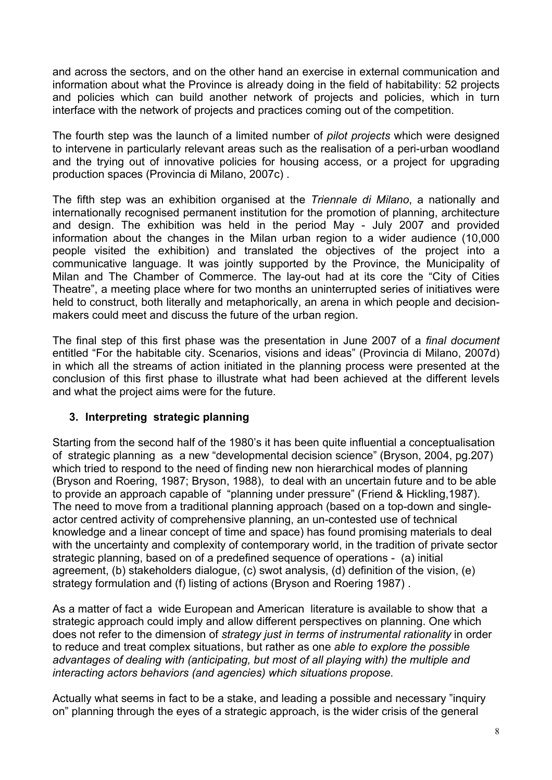and across the sectors, and on the other hand an exercise in external communication and information about what the Province is already doing in the field of habitability: 52 projects and policies which can build another network of projects and policies, which in turn interface with the network of projects and practices coming out of the competition.

The fourth step was the launch of a limited number of *pilot projects* which were designed to intervene in particularly relevant areas such as the realisation of a peri-urban woodland and the trying out of innovative policies for housing access, or a project for upgrading production spaces (Provincia di Milano, 2007c) .

The fifth step was an exhibition organised at the *Triennale di Milano*, a nationally and internationally recognised permanent institution for the promotion of planning, architecture and design. The exhibition was held in the period May - July 2007 and provided information about the changes in the Milan urban region to a wider audience (10,000 people visited the exhibition) and translated the objectives of the project into a communicative language. It was jointly supported by the Province, the Municipality of Milan and The Chamber of Commerce. The lay-out had at its core the "City of Cities Theatre", a meeting place where for two months an uninterrupted series of initiatives were held to construct, both literally and metaphorically, an arena in which people and decisionmakers could meet and discuss the future of the urban region.

The final step of this first phase was the presentation in June 2007 of a *final document* entitled "For the habitable city. Scenarios, visions and ideas" (Provincia di Milano, 2007d) in which all the streams of action initiated in the planning process were presented at the conclusion of this first phase to illustrate what had been achieved at the different levels and what the project aims were for the future.

## **3. Interpreting strategic planning**

Starting from the second half of the 1980's it has been quite influential a conceptualisation of strategic planning as a new "developmental decision science" (Bryson, 2004, pg.207) which tried to respond to the need of finding new non hierarchical modes of planning (Bryson and Roering, 1987; Bryson, 1988), to deal with an uncertain future and to be able to provide an approach capable of "planning under pressure" (Friend & Hickling,1987). The need to move from a traditional planning approach (based on a top-down and singleactor centred activity of comprehensive planning, an un-contested use of technical knowledge and a linear concept of time and space) has found promising materials to deal with the uncertainty and complexity of contemporary world, in the tradition of private sector strategic planning, based on of a predefined sequence of operations - (a) initial agreement, (b) stakeholders dialogue, (c) swot analysis, (d) definition of the vision, (e) strategy formulation and (f) listing of actions (Bryson and Roering 1987) .

As a matter of fact a wide European and American literature is available to show that a strategic approach could imply and allow different perspectives on planning. One which does not refer to the dimension of *strategy just in terms of instrumental rationality* in order to reduce and treat complex situations, but rather as one *able to explore the possible advantages of dealing with (anticipating, but most of all playing with) the multiple and interacting actors behaviors (and agencies) which situations propose.*

Actually what seems in fact to be a stake, and leading a possible and necessary "inquiry on" planning through the eyes of a strategic approach, is the wider crisis of the general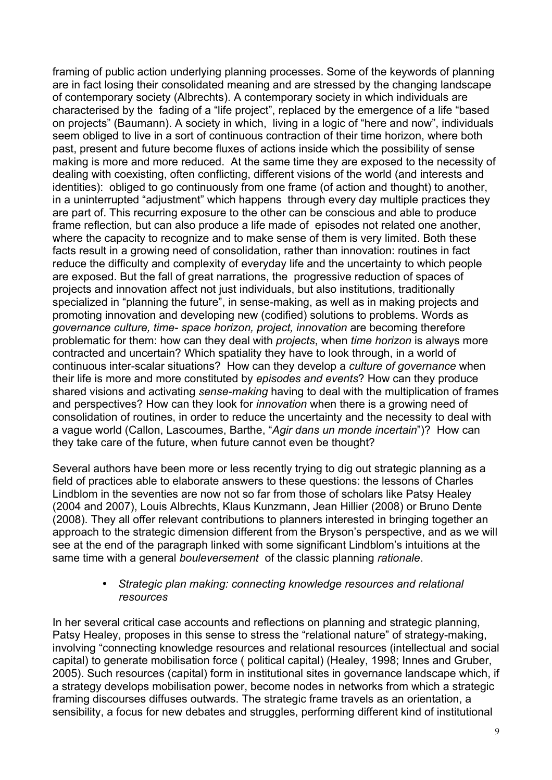framing of public action underlying planning processes. Some of the keywords of planning are in fact losing their consolidated meaning and are stressed by the changing landscape of contemporary society (Albrechts). A contemporary society in which individuals are characterised by the fading of a "life project", replaced by the emergence of a life "based on projects" (Baumann). A society in which, living in a logic of "here and now", individuals seem obliged to live in a sort of continuous contraction of their time horizon, where both past, present and future become fluxes of actions inside which the possibility of sense making is more and more reduced. At the same time they are exposed to the necessity of dealing with coexisting, often conflicting, different visions of the world (and interests and identities): obliged to go continuously from one frame (of action and thought) to another, in a uninterrupted "adjustment" which happens through every day multiple practices they are part of. This recurring exposure to the other can be conscious and able to produce frame reflection, but can also produce a life made of episodes not related one another, where the capacity to recognize and to make sense of them is very limited. Both these facts result in a growing need of consolidation, rather than innovation: routines in fact reduce the difficulty and complexity of everyday life and the uncertainty to which people are exposed. But the fall of great narrations, the progressive reduction of spaces of projects and innovation affect not just individuals, but also institutions, traditionally specialized in "planning the future", in sense-making, as well as in making projects and promoting innovation and developing new (codified) solutions to problems. Words as *governance culture, time- space horizon, project, innovation* are becoming therefore problematic for them: how can they deal with *projects*, when *time horizon* is always more contracted and uncertain? Which spatiality they have to look through, in a world of continuous inter-scalar situations? How can they develop a *culture of governance* when their life is more and more constituted by *episodes and events*? How can they produce shared visions and activating *sense-making* having to deal with the multiplication of frames and perspectives? How can they look for *innovation* when there is a growing need of consolidation of routines, in order to reduce the uncertainty and the necessity to deal with a vague world (Callon, Lascoumes, Barthe, "*Agir dans un monde incertain*")? How can they take care of the future, when future cannot even be thought?

Several authors have been more or less recently trying to dig out strategic planning as a field of practices able to elaborate answers to these questions: the lessons of Charles Lindblom in the seventies are now not so far from those of scholars like Patsy Healey (2004 and 2007), Louis Albrechts, Klaus Kunzmann, Jean Hillier (2008) or Bruno Dente (2008). They all offer relevant contributions to planners interested in bringing together an approach to the strategic dimension different from the Bryson's perspective, and as we will see at the end of the paragraph linked with some significant Lindblom's intuitions at the same time with a general *bouleversement* of the classic planning *rationale*.

### • *Strategic plan making: connecting knowledge resources and relational resources*

In her several critical case accounts and reflections on planning and strategic planning, Patsy Healey, proposes in this sense to stress the "relational nature" of strategy-making, involving "connecting knowledge resources and relational resources (intellectual and social capital) to generate mobilisation force ( political capital) (Healey, 1998; Innes and Gruber, 2005). Such resources (capital) form in institutional sites in governance landscape which, if a strategy develops mobilisation power, become nodes in networks from which a strategic framing discourses diffuses outwards. The strategic frame travels as an orientation, a sensibility, a focus for new debates and struggles, performing different kind of institutional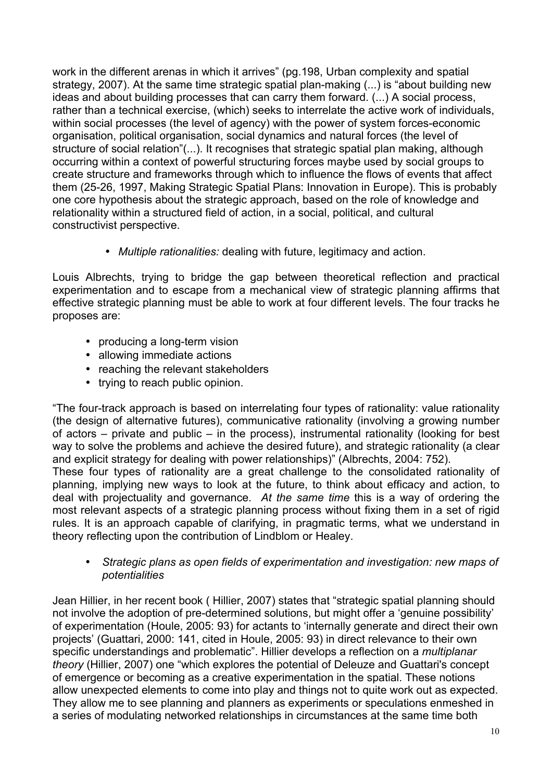work in the different arenas in which it arrives" (pg.198, Urban complexity and spatial strategy, 2007). At the same time strategic spatial plan-making (...) is "about building new ideas and about building processes that can carry them forward. (...) A social process, rather than a technical exercise, (which) seeks to interrelate the active work of individuals, within social processes (the level of agency) with the power of system forces-economic organisation, political organisation, social dynamics and natural forces (the level of structure of social relation"(...). It recognises that strategic spatial plan making, although occurring within a context of powerful structuring forces maybe used by social groups to create structure and frameworks through which to influence the flows of events that affect them (25-26, 1997, Making Strategic Spatial Plans: Innovation in Europe). This is probably one core hypothesis about the strategic approach, based on the role of knowledge and relationality within a structured field of action, in a social, political, and cultural constructivist perspective.

• *Multiple rationalities:* dealing with future, legitimacy and action.

Louis Albrechts, trying to bridge the gap between theoretical reflection and practical experimentation and to escape from a mechanical view of strategic planning affirms that effective strategic planning must be able to work at four different levels. The four tracks he proposes are:

- producing a long-term vision
- allowing immediate actions
- reaching the relevant stakeholders
- trying to reach public opinion.

"The four-track approach is based on interrelating four types of rationality: value rationality (the design of alternative futures), communicative rationality (involving a growing number of actors – private and public – in the process), instrumental rationality (looking for best way to solve the problems and achieve the desired future), and strategic rationality (a clear and explicit strategy for dealing with power relationships)" (Albrechts, 2004: 752). These four types of rationality are a great challenge to the consolidated rationality of planning, implying new ways to look at the future, to think about efficacy and action, to deal with projectuality and governance. *At the same time* this is a way of ordering the

most relevant aspects of a strategic planning process without fixing them in a set of rigid rules. It is an approach capable of clarifying, in pragmatic terms, what we understand in theory reflecting upon the contribution of Lindblom or Healey.

### • *Strategic plans as open fields of experimentation and investigation: new maps of potentialities*

Jean Hillier, in her recent book ( Hillier, 2007) states that "strategic spatial planning should not involve the adoption of pre-determined solutions, but might offer a 'genuine possibility' of experimentation (Houle, 2005: 93) for actants to 'internally generate and direct their own projects' (Guattari, 2000: 141, cited in Houle, 2005: 93) in direct relevance to their own specific understandings and problematic". Hillier develops a reflection on a *multiplanar theory* (Hillier, 2007) one "which explores the potential of Deleuze and Guattari's concept of emergence or becoming as a creative experimentation in the spatial. These notions allow unexpected elements to come into play and things not to quite work out as expected. They allow me to see planning and planners as experiments or speculations enmeshed in a series of modulating networked relationships in circumstances at the same time both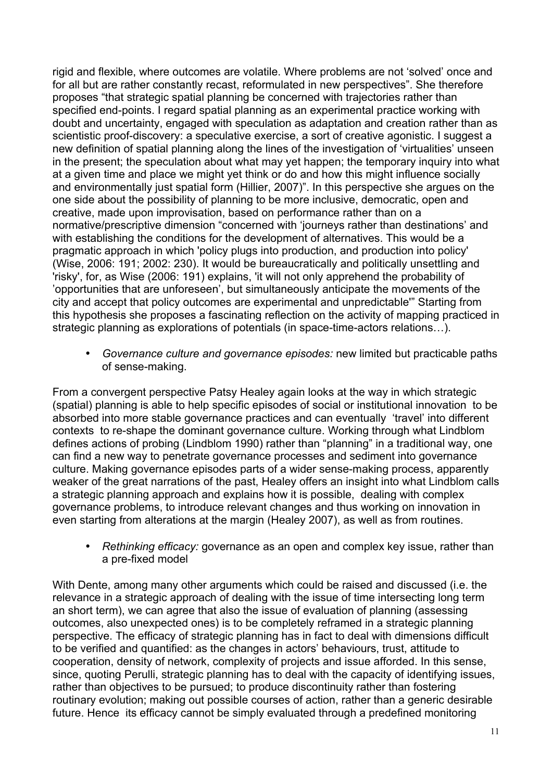rigid and flexible, where outcomes are volatile. Where problems are not 'solved' once and for all but are rather constantly recast, reformulated in new perspectives". She therefore proposes "that strategic spatial planning be concerned with trajectories rather than specified end-points. I regard spatial planning as an experimental practice working with doubt and uncertainty, engaged with speculation as adaptation and creation rather than as scientistic proof-discovery: a speculative exercise, a sort of creative agonistic. I suggest a new definition of spatial planning along the lines of the investigation of 'virtualities' unseen in the present; the speculation about what may yet happen; the temporary inquiry into what at a given time and place we might yet think or do and how this might influence socially and environmentally just spatial form (Hillier, 2007)". In this perspective she argues on the one side about the possibility of planning to be more inclusive, democratic, open and creative, made upon improvisation, based on performance rather than on a normative/prescriptive dimension "concerned with 'journeys rather than destinations' and with establishing the conditions for the development of alternatives. This would be a pragmatic approach in which 'policy plugs into production, and production into policy' (Wise, 2006: 191; 2002: 230). It would be bureaucratically and politically unsettling and 'risky', for, as Wise (2006: 191) explains, 'it will not only apprehend the probability of 'opportunities that are unforeseen', but simultaneously anticipate the movements of the city and accept that policy outcomes are experimental and unpredictable'" Starting from this hypothesis she proposes a fascinating reflection on the activity of mapping practiced in strategic planning as explorations of potentials (in space-time-actors relations…).

• *Governance culture and governance episodes:* new limited but practicable paths of sense-making.

From a convergent perspective Patsy Healey again looks at the way in which strategic (spatial) planning is able to help specific episodes of social or institutional innovation to be absorbed into more stable governance practices and can eventually 'travel' into different contexts to re-shape the dominant governance culture. Working through what Lindblom defines actions of probing (Lindblom 1990) rather than "planning" in a traditional way, one can find a new way to penetrate governance processes and sediment into governance culture. Making governance episodes parts of a wider sense-making process, apparently weaker of the great narrations of the past, Healey offers an insight into what Lindblom calls a strategic planning approach and explains how it is possible, dealing with complex governance problems, to introduce relevant changes and thus working on innovation in even starting from alterations at the margin (Healey 2007), as well as from routines.

• *Rethinking efficacy:* governance as an open and complex key issue, rather than a pre-fixed model

With Dente, among many other arguments which could be raised and discussed (i.e. the relevance in a strategic approach of dealing with the issue of time intersecting long term an short term), we can agree that also the issue of evaluation of planning (assessing outcomes, also unexpected ones) is to be completely reframed in a strategic planning perspective. The efficacy of strategic planning has in fact to deal with dimensions difficult to be verified and quantified: as the changes in actors' behaviours, trust, attitude to cooperation, density of network, complexity of projects and issue afforded. In this sense, since, quoting Perulli, strategic planning has to deal with the capacity of identifying issues, rather than objectives to be pursued; to produce discontinuity rather than fostering routinary evolution; making out possible courses of action, rather than a generic desirable future. Hence its efficacy cannot be simply evaluated through a predefined monitoring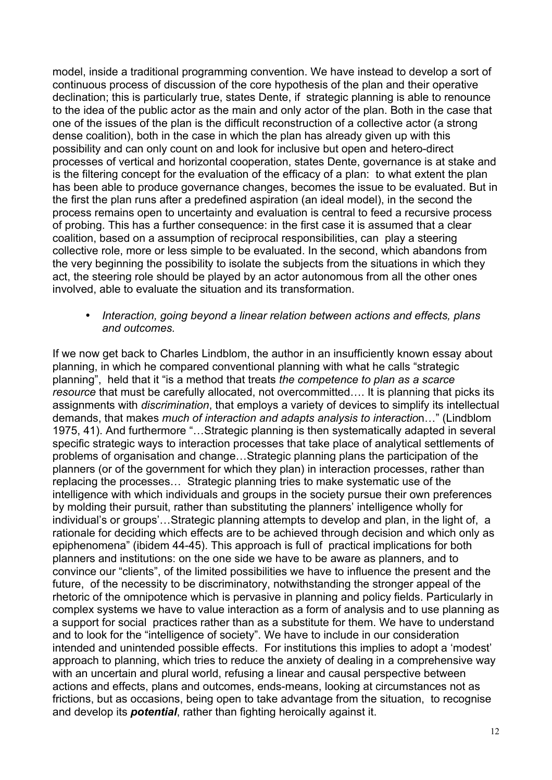model, inside a traditional programming convention. We have instead to develop a sort of continuous process of discussion of the core hypothesis of the plan and their operative declination; this is particularly true, states Dente, if strategic planning is able to renounce to the idea of the public actor as the main and only actor of the plan. Both in the case that one of the issues of the plan is the difficult reconstruction of a collective actor (a strong dense coalition), both in the case in which the plan has already given up with this possibility and can only count on and look for inclusive but open and hetero-direct processes of vertical and horizontal cooperation, states Dente, governance is at stake and is the filtering concept for the evaluation of the efficacy of a plan: to what extent the plan has been able to produce governance changes, becomes the issue to be evaluated. But in the first the plan runs after a predefined aspiration (an ideal model), in the second the process remains open to uncertainty and evaluation is central to feed a recursive process of probing. This has a further consequence: in the first case it is assumed that a clear coalition, based on a assumption of reciprocal responsibilities, can play a steering collective role, more or less simple to be evaluated. In the second, which abandons from the very beginning the possibility to isolate the subjects from the situations in which they act, the steering role should be played by an actor autonomous from all the other ones involved, able to evaluate the situation and its transformation.

### • *Interaction, going beyond a linear relation between actions and effects, plans and outcomes.*

If we now get back to Charles Lindblom, the author in an insufficiently known essay about planning, in which he compared conventional planning with what he calls "strategic planning", held that it "is a method that treats *the competence to plan as a scarce resource* that must be carefully allocated, not overcommitted…. It is planning that picks its assignments with *discrimination*, that employs a variety of devices to simplify its intellectual demands, that makes *much of interaction and adapts analysis to interactio*n…" (Lindblom 1975, 41). And furthermore "…Strategic planning is then systematically adapted in several specific strategic ways to interaction processes that take place of analytical settlements of problems of organisation and change…Strategic planning plans the participation of the planners (or of the government for which they plan) in interaction processes, rather than replacing the processes… Strategic planning tries to make systematic use of the intelligence with which individuals and groups in the society pursue their own preferences by molding their pursuit, rather than substituting the planners' intelligence wholly for individual's or groups'…Strategic planning attempts to develop and plan, in the light of, a rationale for deciding which effects are to be achieved through decision and which only as epiphenomena" (ibidem 44-45). This approach is full of practical implications for both planners and institutions: on the one side we have to be aware as planners, and to convince our "clients", of the limited possibilities we have to influence the present and the future, of the necessity to be discriminatory, notwithstanding the stronger appeal of the rhetoric of the omnipotence which is pervasive in planning and policy fields. Particularly in complex systems we have to value interaction as a form of analysis and to use planning as a support for social practices rather than as a substitute for them. We have to understand and to look for the "intelligence of society". We have to include in our consideration intended and unintended possible effects. For institutions this implies to adopt a 'modest' approach to planning, which tries to reduce the anxiety of dealing in a comprehensive way with an uncertain and plural world, refusing a linear and causal perspective between actions and effects, plans and outcomes, ends-means, looking at circumstances not as frictions, but as occasions, being open to take advantage from the situation, to recognise and develop its *potential*, rather than fighting heroically against it.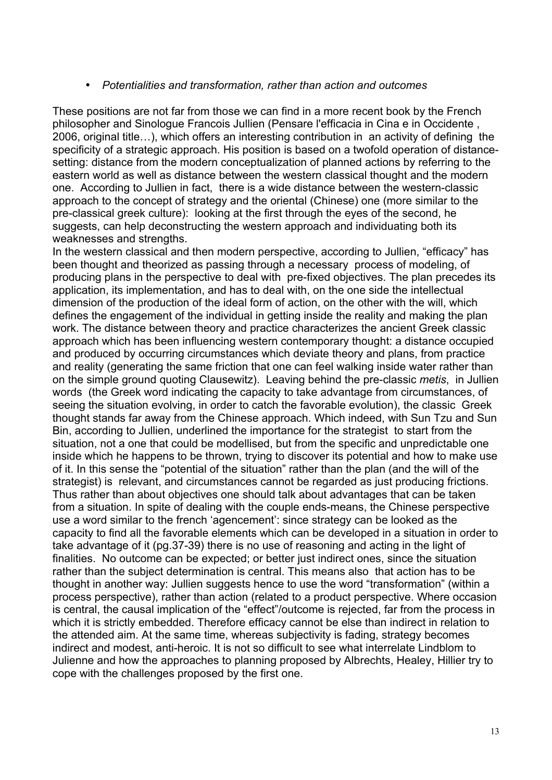#### • *Potentialities and transformation, rather than action and outcomes*

These positions are not far from those we can find in a more recent book by the French philosopher and Sinologue Francois Jullien (Pensare l'efficacia in Cina e in Occidente , 2006, original title…), which offers an interesting contribution in an activity of defining the specificity of a strategic approach. His position is based on a twofold operation of distancesetting: distance from the modern conceptualization of planned actions by referring to the eastern world as well as distance between the western classical thought and the modern one. According to Jullien in fact, there is a wide distance between the western-classic approach to the concept of strategy and the oriental (Chinese) one (more similar to the pre-classical greek culture): looking at the first through the eyes of the second, he suggests, can help deconstructing the western approach and individuating both its weaknesses and strengths.

In the western classical and then modern perspective, according to Jullien, "efficacy" has been thought and theorized as passing through a necessary process of modeling, of producing plans in the perspective to deal with pre-fixed objectives. The plan precedes its application, its implementation, and has to deal with, on the one side the intellectual dimension of the production of the ideal form of action, on the other with the will, which defines the engagement of the individual in getting inside the reality and making the plan work. The distance between theory and practice characterizes the ancient Greek classic approach which has been influencing western contemporary thought: a distance occupied and produced by occurring circumstances which deviate theory and plans, from practice and reality (generating the same friction that one can feel walking inside water rather than on the simple ground quoting Clausewitz). Leaving behind the pre-classic *metis*, in Jullien words (the Greek word indicating the capacity to take advantage from circumstances, of seeing the situation evolving, in order to catch the favorable evolution), the classic Greek thought stands far away from the Chinese approach. Which indeed, with Sun Tzu and Sun Bin, according to Jullien, underlined the importance for the strategist to start from the situation, not a one that could be modellised, but from the specific and unpredictable one inside which he happens to be thrown, trying to discover its potential and how to make use of it. In this sense the "potential of the situation" rather than the plan (and the will of the strategist) is relevant, and circumstances cannot be regarded as just producing frictions. Thus rather than about objectives one should talk about advantages that can be taken from a situation. In spite of dealing with the couple ends-means, the Chinese perspective use a word similar to the french 'agencement': since strategy can be looked as the capacity to find all the favorable elements which can be developed in a situation in order to take advantage of it (pg.37-39) there is no use of reasoning and acting in the light of finalities. No outcome can be expected; or better just indirect ones, since the situation rather than the subject determination is central. This means also that action has to be thought in another way: Jullien suggests hence to use the word "transformation" (within a process perspective), rather than action (related to a product perspective. Where occasion is central, the causal implication of the "effect"/outcome is rejected, far from the process in which it is strictly embedded. Therefore efficacy cannot be else than indirect in relation to the attended aim. At the same time, whereas subjectivity is fading, strategy becomes indirect and modest, anti-heroic. It is not so difficult to see what interrelate Lindblom to Julienne and how the approaches to planning proposed by Albrechts, Healey, Hillier try to cope with the challenges proposed by the first one.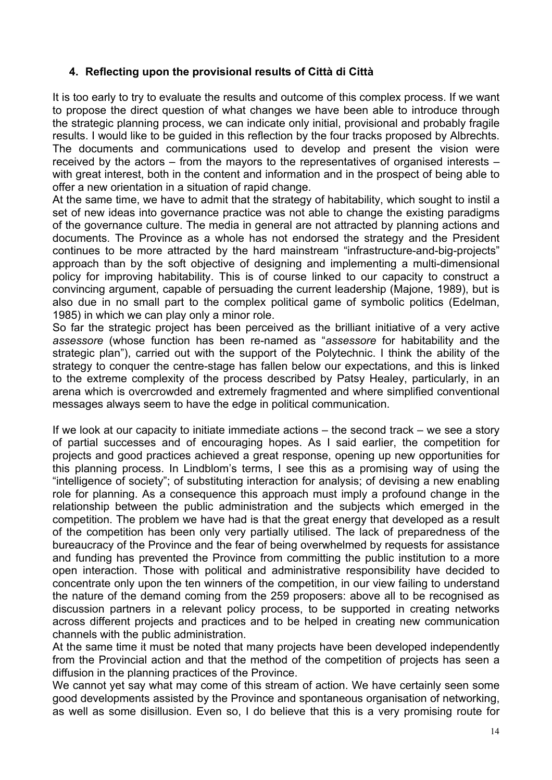## **4. Reflecting upon the provisional results of Città di Città**

It is too early to try to evaluate the results and outcome of this complex process. If we want to propose the direct question of what changes we have been able to introduce through the strategic planning process, we can indicate only initial, provisional and probably fragile results. I would like to be guided in this reflection by the four tracks proposed by Albrechts. The documents and communications used to develop and present the vision were received by the actors – from the mayors to the representatives of organised interests – with great interest, both in the content and information and in the prospect of being able to offer a new orientation in a situation of rapid change.

At the same time, we have to admit that the strategy of habitability, which sought to instil a set of new ideas into governance practice was not able to change the existing paradigms of the governance culture. The media in general are not attracted by planning actions and documents. The Province as a whole has not endorsed the strategy and the President continues to be more attracted by the hard mainstream "infrastructure-and-big-projects" approach than by the soft objective of designing and implementing a multi-dimensional policy for improving habitability. This is of course linked to our capacity to construct a convincing argument, capable of persuading the current leadership (Majone, 1989), but is also due in no small part to the complex political game of symbolic politics (Edelman, 1985) in which we can play only a minor role.

So far the strategic project has been perceived as the brilliant initiative of a very active *assessore* (whose function has been re-named as "*assessore* for habitability and the strategic plan"), carried out with the support of the Polytechnic. I think the ability of the strategy to conquer the centre-stage has fallen below our expectations, and this is linked to the extreme complexity of the process described by Patsy Healey, particularly, in an arena which is overcrowded and extremely fragmented and where simplified conventional messages always seem to have the edge in political communication.

If we look at our capacity to initiate immediate actions – the second track – we see a story of partial successes and of encouraging hopes. As I said earlier, the competition for projects and good practices achieved a great response, opening up new opportunities for this planning process. In Lindblom's terms, I see this as a promising way of using the "intelligence of society"; of substituting interaction for analysis; of devising a new enabling role for planning. As a consequence this approach must imply a profound change in the relationship between the public administration and the subjects which emerged in the competition. The problem we have had is that the great energy that developed as a result of the competition has been only very partially utilised. The lack of preparedness of the bureaucracy of the Province and the fear of being overwhelmed by requests for assistance and funding has prevented the Province from committing the public institution to a more open interaction. Those with political and administrative responsibility have decided to concentrate only upon the ten winners of the competition, in our view failing to understand the nature of the demand coming from the 259 proposers: above all to be recognised as discussion partners in a relevant policy process, to be supported in creating networks across different projects and practices and to be helped in creating new communication channels with the public administration.

At the same time it must be noted that many projects have been developed independently from the Provincial action and that the method of the competition of projects has seen a diffusion in the planning practices of the Province.

We cannot yet say what may come of this stream of action. We have certainly seen some good developments assisted by the Province and spontaneous organisation of networking, as well as some disillusion. Even so, I do believe that this is a very promising route for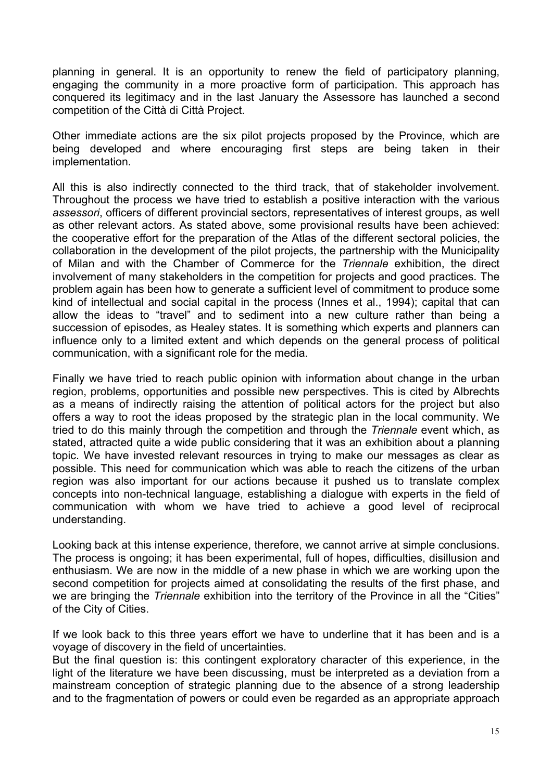planning in general. It is an opportunity to renew the field of participatory planning, engaging the community in a more proactive form of participation. This approach has conquered its legitimacy and in the last January the Assessore has launched a second competition of the Città di Città Project.

Other immediate actions are the six pilot projects proposed by the Province, which are being developed and where encouraging first steps are being taken in their implementation.

All this is also indirectly connected to the third track, that of stakeholder involvement. Throughout the process we have tried to establish a positive interaction with the various *assessori*, officers of different provincial sectors, representatives of interest groups, as well as other relevant actors. As stated above, some provisional results have been achieved: the cooperative effort for the preparation of the Atlas of the different sectoral policies, the collaboration in the development of the pilot projects, the partnership with the Municipality of Milan and with the Chamber of Commerce for the *Triennale* exhibition, the direct involvement of many stakeholders in the competition for projects and good practices. The problem again has been how to generate a sufficient level of commitment to produce some kind of intellectual and social capital in the process (Innes et al., 1994); capital that can allow the ideas to "travel" and to sediment into a new culture rather than being a succession of episodes, as Healey states. It is something which experts and planners can influence only to a limited extent and which depends on the general process of political communication, with a significant role for the media.

Finally we have tried to reach public opinion with information about change in the urban region, problems, opportunities and possible new perspectives. This is cited by Albrechts as a means of indirectly raising the attention of political actors for the project but also offers a way to root the ideas proposed by the strategic plan in the local community. We tried to do this mainly through the competition and through the *Triennale* event which, as stated, attracted quite a wide public considering that it was an exhibition about a planning topic. We have invested relevant resources in trying to make our messages as clear as possible. This need for communication which was able to reach the citizens of the urban region was also important for our actions because it pushed us to translate complex concepts into non-technical language, establishing a dialogue with experts in the field of communication with whom we have tried to achieve a good level of reciprocal understanding.

Looking back at this intense experience, therefore, we cannot arrive at simple conclusions. The process is ongoing; it has been experimental, full of hopes, difficulties, disillusion and enthusiasm. We are now in the middle of a new phase in which we are working upon the second competition for projects aimed at consolidating the results of the first phase, and we are bringing the *Triennale* exhibition into the territory of the Province in all the "Cities" of the City of Cities.

If we look back to this three years effort we have to underline that it has been and is a voyage of discovery in the field of uncertainties.

But the final question is: this contingent exploratory character of this experience, in the light of the literature we have been discussing, must be interpreted as a deviation from a mainstream conception of strategic planning due to the absence of a strong leadership and to the fragmentation of powers or could even be regarded as an appropriate approach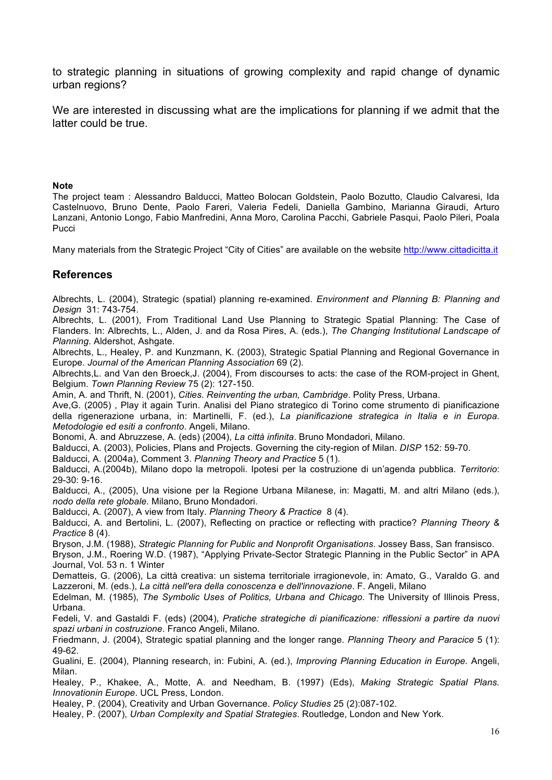to strategic planning in situations of growing complexity and rapid change of dynamic urban regions?

We are interested in discussing what are the implications for planning if we admit that the latter could be true.

#### **Note**

The project team : Alessandro Balducci, Matteo Bolocan Goldstein, Paolo Bozutto, Claudio Calvaresi, Ida Castelnuovo, Bruno Dente, Paolo Fareri, Valeria Fedeli, Daniella Gambino, Marianna Giraudi, Arturo Lanzani, Antonio Longo, Fabio Manfredini, Anna Moro, Carolina Pacchi, Gabriele Pasqui, Paolo Pileri, Poala Pucci

Many materials from the Strategic Project "City of Cities" are available on the website http://www.cittadicitta.it

#### **References**

Albrechts, L. (2004), Strategic (spatial) planning re-examined. *Environment and Planning B: Planning and Design* 31: 743-754.

Albrechts, L. (2001), From Traditional Land Use Planning to Strategic Spatial Planning: The Case of Flanders. In: Albrechts, L., Alden, J. and da Rosa Pires, A. (eds.), *The Changing Institutional Landscape of Planning*. Aldershot, Ashgate.

Albrechts, L., Healey, P. and Kunzmann, K. (2003), Strategic Spatial Planning and Regional Governance in Europe. *Journal of the American Planning Association* 69 (2).

Albrechts,L. and Van den Broeck,J. (2004), From discourses to acts: the case of the ROM-project in Ghent, Belgium. *Town Planning Review* 75 (2): 127-150.

Amin, A. and Thrift, N. (2001), *Cities. Reinventing the urban, Cambridge*. Polity Press, Urbana.

Ave,G. (2005) , Play it again Turin. Analisi del Piano strategico di Torino come strumento di pianificazione della rigenerazione urbana, in: Martinelli, F. (ed.), *La pianificazione strategica in Italia e in Europa. Metodologie ed esiti a confronto*. Angeli, Milano.

Bonomi, A. and Abruzzese, A. (eds) (2004), *La città infinita*. Bruno Mondadori, Milano.

Balducci, A. (2003), Policies, Plans and Projects. Governing the city-region of Milan. *DISP* 152: 59-70.

Balducci, A. (2004a), Comment 3. *Planning Theory and Practice* 5 (1).

Balducci, A.(2004b), Milano dopo la metropoli. Ipotesi per la costruzione di un'agenda pubblica. *Territorio*: 29-30: 9-16.

Balducci, A., (2005), Una visione per la Regione Urbana Milanese, in: Magatti, M. and altri Milano (eds.), *nodo della rete globale*. Milano, Bruno Mondadori.

Balducci, A. (2007), A view from Italy. *Planning Theory & Practice* 8 (4).

Balducci, A. and Bertolini, L. (2007), Reflecting on practice or reflecting with practice? *Planning Theory & Practice* 8 (4).

Bryson, J.M. (1988), *Strategic Planning for Public and Nonprofit Organisations*. Jossey Bass, San fransisco.

Bryson, J.M., Roering W.D. (1987), "Applying Private-Sector Strategic Planning in the Public Sector" in APA Journal, Vol. 53 n. 1 Winter

Dematteis, G. (2006), La città creativa: un sistema territoriale irragionevole, in: Amato, G., Varaldo G. and Lazzeroni, M. (eds.), *La città nell'era della conoscenza e dell'innovazione*. F. Angeli, Milano

Edelman, M. (1985), *The Symbolic Uses of Politics, Urbana and Chicago*. The University of Illinois Press, Urbana.

Fedeli, V. and Gastaldi F. (eds) (2004), *Pratiche strategiche di pianificazione: riflessioni a partire da nuovi spazi urbani in costruzione*. Franco Angeli, Milano.

Friedmann, J. (2004), Strategic spatial planning and the longer range. *Planning Theory and Paracice* 5 (1): 49-62.

Gualini, E. (2004), Planning research, in: Fubini, A. (ed.), *Improving Planning Education in Europe.* Angeli, Milan.

Healey, P., Khakee, A., Motte, A. and Needham, B. (1997) (Eds), *Making Strategic Spatial Plans. Innovationin Europe*. UCL Press, London.

Healey, P. (2004), Creativity and Urban Governance. *Policy Studies* 25 (2):087-102.

Healey, P. (2007), *Urban Complexity and Spatial Strategies*. Routledge, London and New York.